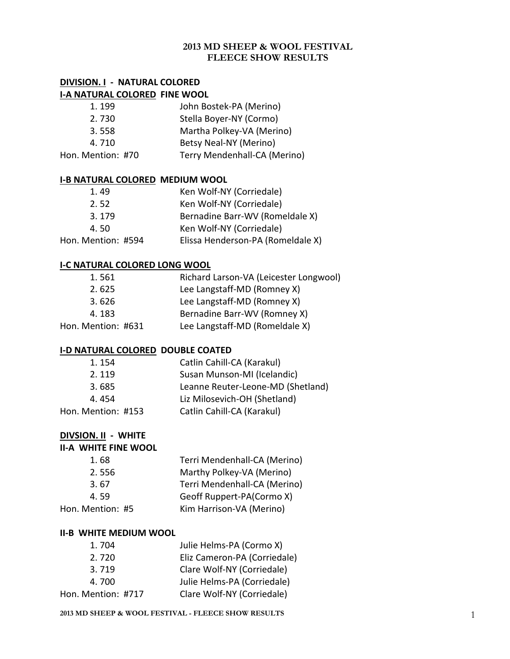## **2013 MD SHEEP & WOOL FESTIVAL FLEECE SHOW RESULTS**

## **DIVISION. I - NATURAL COLORED I-A NATURAL COLORED FINE WOOL**

| 1.199             | John Bostek-PA (Merino)      |
|-------------------|------------------------------|
| 2.730             | Stella Boyer-NY (Cormo)      |
| 3.558             | Martha Polkey-VA (Merino)    |
| 4.710             | Betsy Neal-NY (Merino)       |
| Hon. Mention: #70 | Terry Mendenhall-CA (Merino) |

#### **I-B NATURAL COLORED MEDIUM WOOL**

| Ken Wolf-NY (Corriedale)          |
|-----------------------------------|
| Ken Wolf-NY (Corriedale)          |
| Bernadine Barr-WV (Romeldale X)   |
| Ken Wolf-NY (Corriedale)          |
| Elissa Henderson-PA (Romeldale X) |
|                                   |

#### **I-C NATURAL COLORED LONG WOOL**

| Richard Larson-VA (Leicester Longwool) |
|----------------------------------------|
| Lee Langstaff-MD (Romney X)            |
| Lee Langstaff-MD (Romney X)            |
| Bernadine Barr-WV (Romney X)           |
| Lee Langstaff-MD (Romeldale X)         |
|                                        |

#### **I-D NATURAL COLORED DOUBLE COATED**

| 1.154              | Catlin Cahill-CA (Karakul)        |
|--------------------|-----------------------------------|
| 2.119              | Susan Munson-MI (Icelandic)       |
| 3.685              | Leanne Reuter-Leone-MD (Shetland) |
| 4.454              | Liz Milosevich-OH (Shetland)      |
| Hon. Mention: #153 | Catlin Cahill-CA (Karakul)        |
|                    |                                   |

#### **DIVSION. II - WHITE**

| <b>II-A WHITE FINE WOOL</b> |                              |
|-----------------------------|------------------------------|
| 1.68                        | Terri Mendenhall-CA (Merino) |
| 2.556                       | Marthy Polkey-VA (Merino)    |
| 3.67                        | Terri Mendenhall-CA (Merino) |
| 4.59                        | Geoff Ruppert-PA(Cormo X)    |
| Hon. Mention: #5            | Kim Harrison-VA (Merino)     |

#### **II-B WHITE MEDIUM WOOL**

| 1.704              | Julie Helms-PA (Cormo X)     |
|--------------------|------------------------------|
| 2.720              | Eliz Cameron-PA (Corriedale) |
| 3.719              | Clare Wolf-NY (Corriedale)   |
| 4.700              | Julie Helms-PA (Corriedale)  |
| Hon. Mention: #717 | Clare Wolf-NY (Corriedale)   |

#### **2013 MD SHEEP & WOOL FESTIVAL - FLEECE SHOW RESULTS** 1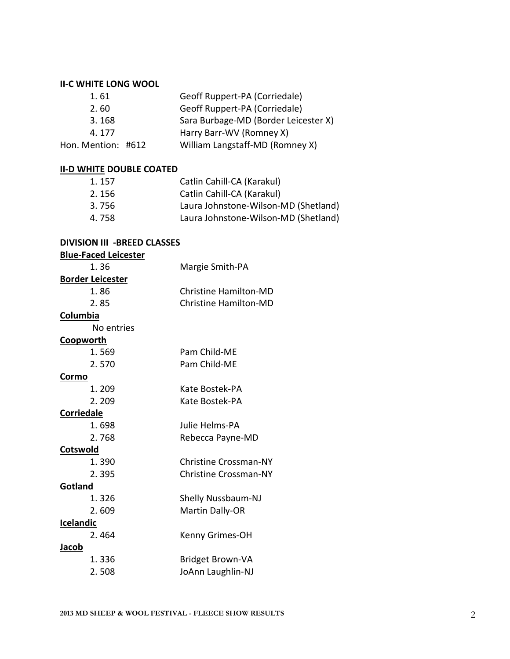### **II-C WHITE LONG WOOL**

| 1.61               | Geoff Ruppert-PA (Corriedale)        |
|--------------------|--------------------------------------|
| 2.60               | Geoff Ruppert-PA (Corriedale)        |
| 3.168              | Sara Burbage-MD (Border Leicester X) |
| 4.177              | Harry Barr-WV (Romney X)             |
| Hon. Mention: #612 | William Langstaff-MD (Romney X)      |

## **II-D WHITE DOUBLE COATED**

| 1.157 | Catlin Cahill-CA (Karakul)           |
|-------|--------------------------------------|
| 2.156 | Catlin Cahill-CA (Karakul)           |
| 3.756 | Laura Johnstone-Wilson-MD (Shetland) |
| 4.758 | Laura Johnstone-Wilson-MD (Shetland) |

#### **DIVISION III -BREED CLASSES**

| <b>Blue-Faced Leicester</b> |                              |
|-----------------------------|------------------------------|
| 1.36                        | Margie Smith-PA              |
| <b>Border Leicester</b>     |                              |
| 1.86                        | <b>Christine Hamilton-MD</b> |
| 2.85                        | <b>Christine Hamilton-MD</b> |
| Columbia                    |                              |
| No entries                  |                              |
| <b>Coopworth</b>            |                              |
| 1.569                       | Pam Child-ME                 |
| 2.570                       | Pam Child-ME                 |
| Cormo                       |                              |
| 1.209                       | Kate Bostek-PA               |
| 2.209                       | Kate Bostek-PA               |
| <b>Corriedale</b>           |                              |
| 1.698                       | Julie Helms-PA               |
| 2.768                       | Rebecca Payne-MD             |
| Cotswold                    |                              |
| 1.390                       | <b>Christine Crossman-NY</b> |
| 2.395                       | <b>Christine Crossman-NY</b> |
| <b>Gotland</b>              |                              |
| 1.326                       | <b>Shelly Nussbaum-NJ</b>    |
| 2.609                       | Martin Dally-OR              |
| Icelandic                   |                              |
| 2.464                       | Kenny Grimes-OH              |
| <u>Jacob</u>                |                              |
| 1.336                       | <b>Bridget Brown-VA</b>      |
| 2.508                       | JoAnn Laughlin-NJ            |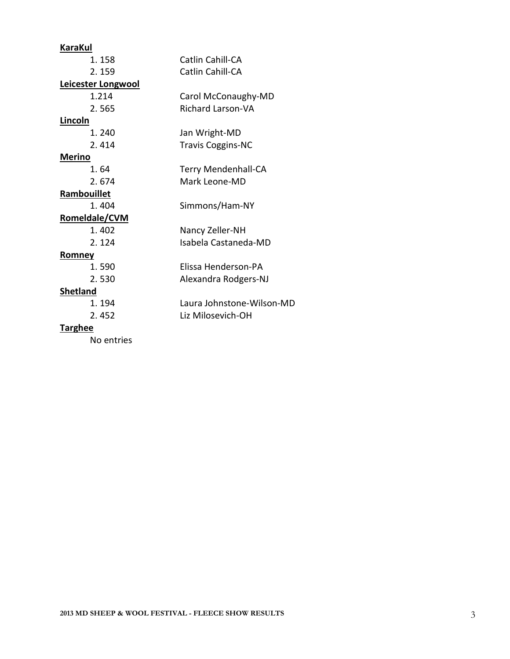| <b>KaraKul</b>     |                            |
|--------------------|----------------------------|
| 1.158              | Catlin Cahill-CA           |
| 2.159              | Catlin Cahill-CA           |
| Leicester Longwool |                            |
| 1.214              | Carol McConaughy-MD        |
| 2.565              | <b>Richard Larson-VA</b>   |
| <b>Lincoln</b>     |                            |
| 1.240              | Jan Wright-MD              |
| 2.414              | <b>Travis Coggins-NC</b>   |
| <u>Merino</u>      |                            |
| 1.64               | <b>Terry Mendenhall-CA</b> |
| 2.674              | Mark Leone-MD              |
| Rambouillet        |                            |
| 1.404              | Simmons/Ham-NY             |
| Romeldale/CVM      |                            |
| 1.402              | Nancy Zeller-NH            |
| 2.124              | Isabela Castaneda-MD       |
| Romney             |                            |
| 1.590              | Flissa Henderson-PA        |
| 2.530              | Alexandra Rodgers-NJ       |
| <b>Shetland</b>    |                            |
| 1.194              | Laura Johnstone-Wilson-MD  |
| 2.452              | Liz Milosevich-OH          |
| <b>Targhee</b>     |                            |

No entries